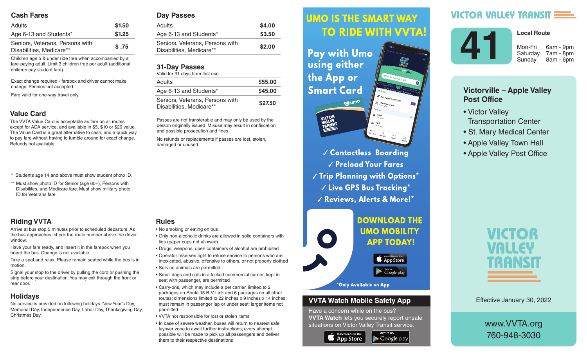#### **Cash Fares**

| <b>Adults</b>                                               | \$1.50 |
|-------------------------------------------------------------|--------|
| Age 6-13 and Students*                                      | \$1.25 |
| Seniors, Veterans, Persons with<br>Disabilities, Medicare** | \$.75  |

Children age 5 & under ride free when accompanied by a fare-paying adult. Limit 3 children free per adult (additional children pay student fare).

Exact change required - farebox and driver cannot make change. Pennies not accepted.

Fare valid for one-way travel only.

#### **Value Card**

The VVTA Value Card is acceptable as fare on all routes except for ADA service, and available in \$5, \$10 or \$20 value. The Value Card is a great alternative to cash, and a quick way to pay fare without having to fumble around for exact change. Refunds not available.

- \* Students age 14 and above must show student photo ID.
- \*\* Must show photo ID for Senior (age 60+), Persons with Disabilites, and Medicare fare. Must show military photo ID for Veterans fare.

### **Riding VVTA**

Arrive at bus stop 5 minutes prior to scheduled departure. As the bus approaches, check the route number above the driver window.

Have your fare ready, and insert it in the farebox when you board the bus. Change is not available.

Take a seat and relax. Please remain seated while the bus is in motion.

Signal your stop to the driver by pulling the cord or pushing the strip before your destination. You may exit through the front or rear door.

#### **Holidays**

No service is provided on following holidays: New Year's Day, Memorial Day, Independence Day, Labor Day, Thanksgiving Day, Christmas Day.

#### **Day Passes**

| Adults                                                      | \$4.00 |
|-------------------------------------------------------------|--------|
| Age 6-13 and Students*                                      | \$3.50 |
| Seniors, Veterans, Persons with<br>Disabilities, Medicare** | \$2.00 |
|                                                             |        |

#### **31-Day Passes**

| Valid for 31 days from first use                            |         |
|-------------------------------------------------------------|---------|
| Adults                                                      | \$55.00 |
| Age 6-13 and Students*                                      | \$45.00 |
| Seniors, Veterans, Persons with<br>Disabilities, Medicare** | \$27.50 |

Passes are not transferable and may only be used by the person originally issued. Misuse may result in confiscation and possible prosecution and fines.

No refunds or replacements if passes are lost, stolen, damaged or unused.

### **Rules**

- No smoking or eating on bus
- Only non-alcoholic drinks are allowed in solid containers with lids (paper cups not allowed)
- Drugs, weapons, open containers of alcohol are prohibited
- Operator reserves right to refuse service to persons who are intoxicated, abusive, offensive to others, or not properly clothed • Service animals are permitted
- Small dogs and cats in a locked commercial carrier, kept in seat with passenger, are permitted
- Carry-ons, which may include a pet carrier, limited to 2 packages on Route 15 B-V Link and 6 packages on all other routes; dimensions limited to 22 inches x 9 inches x 14 inches; must remain in passenger lap or under seat; larger items not permitted
- VVTA not responsible for lost or stolen items
- In case of severe weather, buses will return to nearest safe layover zone to await further instructions; every attempt possible will be made to pick up all passengers and deliver them to their respective destinations

#### *<u>UMO IS THE SMART WAY</u>* Arrive at bus stop 5 minutes prior to scheduled departure. As the bus approximation of the bus approximation of the bus approximation of the bus approximation route number above the driver window.

 $\mathbf{h}$  , and it is instructed in the farebox insert in the farebox  $\mathbf{h}$ **Fay with UMO AND SOLUTE:** using either the bus is in motion.  $\mathbf{S}$  since the driver by pulling the driver by pulling the cord or  $\mathbf{S}$ **Smart Card** exit through the front or real documents of the front or real documents of the front or real documents of the front or real documents of the front or real documents of the front or real documents of the front or real docum



 *Contactless Boarding*  $\sqrt{\frac{P_{\text{rel}}}{P_{\text{rad}}}}$  Preload Your Fares  $\parallel$   $\parallel$   $\parallel$  rip rignning with Uptions  $\parallel$  $\sim$   $\sim$   $\sim$   $\sim$  CPS Rus Tracking  $^{\star}$ are intoxicated, abusive, offensive to others, or not properly V Reviews, Alerts & More!\*



#### **VVTA Watch Mobile Safety App**

Have a concern while on the bus? **VVTA Watch** lets you securely report unsafe situations on Victor Valley Transit service.

**GET IT ON** 

 $\blacktriangleright$  Google play



# **VICTOR VALLEY TRANSIT**



**Local Route** 

Saturday 7am - 8pm Sunday 8am - 6pm

### **Victorville – Apple Valley Post Office**

- Victor Valley Transportation Center
- St. Mary Medical Center
- Apple Valley Town Hall
- Apple Valley Post Office



Effective January 30, 2022

www.VVTA.org 760-948-3030